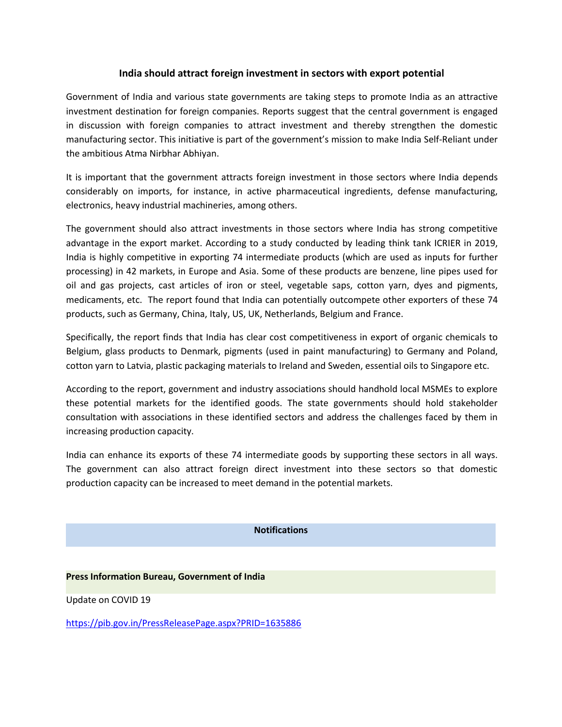# **India should attract foreign investment in sectors with export potential**

Government of India and various state governments are taking steps to promote India as an attractive investment destination for foreign companies. Reports suggest that the central government is engaged in discussion with foreign companies to attract investment and thereby strengthen the domestic manufacturing sector. This initiative is part of the government's mission to make India Self-Reliant under the ambitious Atma Nirbhar Abhiyan.

It is important that the government attracts foreign investment in those sectors where India depends considerably on imports, for instance, in active pharmaceutical ingredients, defense manufacturing, electronics, heavy industrial machineries, among others.

The government should also attract investments in those sectors where India has strong competitive advantage in the export market. According to a study conducted by leading think tank ICRIER in 2019, India is highly competitive in exporting 74 intermediate products (which are used as inputs for further processing) in 42 markets, in Europe and Asia. Some of these products are benzene, line pipes used for oil and gas projects, cast articles of iron or steel, vegetable saps, cotton yarn, dyes and pigments, medicaments, etc. The report found that India can potentially outcompete other exporters of these 74 products, such as Germany,China, Italy, US, UK, Netherlands, Belgium and France.

Specifically, the report finds that India has clear cost competitiveness in export of organic chemicals to Belgium, glass products to Denmark, pigments (used in paint manufacturing) to Germany and Poland, cotton yarn to Latvia, plastic packaging materials to Ireland and Sweden, essential oils to Singapore etc.

According to the report, government and industry associations should handhold local MSMEs to explore these potential markets for the identified goods. The state governments should hold stakeholder consultation with associations in these identified sectors and address the challenges faced by them in increasing production capacity.

India can enhance its exports of these 74 intermediate goods by supporting these sectors in all ways. The government can also attract foreign direct investment into these sectors so that domestic production capacity can be increased to meet demand in the potential markets.

#### **Notifications**

### **Press Information Bureau, Government of India**

Update on COVID 19

<https://pib.gov.in/PressReleasePage.aspx?PRID=1635886>